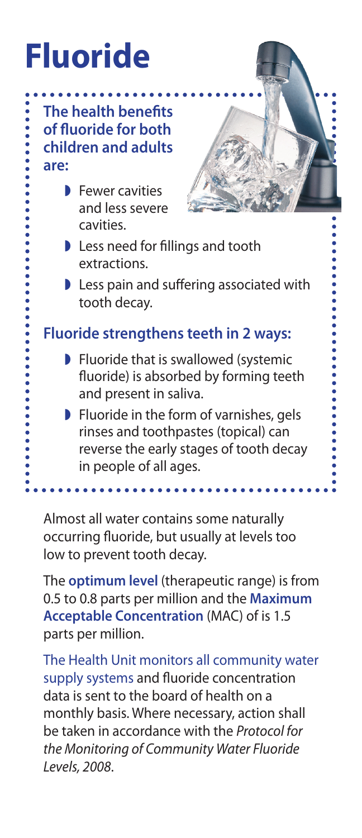## **Fluoride**

**The health benefits of fluoride for both children and adults are:**

> **Fewer cavities** and less severe cavities.



- Less need for fillings and tooth extractions.
- Less pain and suffering associated with tooth decay.

## **Fluoride strengthens teeth in 2 ways:**

- **P** Fluoride that is swallowed (systemic fluoride) is absorbed by forming teeth and present in saliva.
- **Fluoride in the form of varnishes, gels** rinses and toothpastes (topical) can reverse the early stages of tooth decay in people of all ages.

Almost all water contains some naturally occurring fluoride, but usually at levels too low to prevent tooth decay.

The **optimum level** (therapeutic range) is from 0.5 to 0.8 parts per million and the **Maximum Acceptable Concentration** (MAC) of is 1.5 parts per million.

The Health Unit monitors all community water supply systems and fluoride concentration data is sent to the board of health on a monthly basis. Where necessary, action shall be taken in accordance with the *Protocol for the Monitoring of Community Water Fluoride Levels, 2008*.